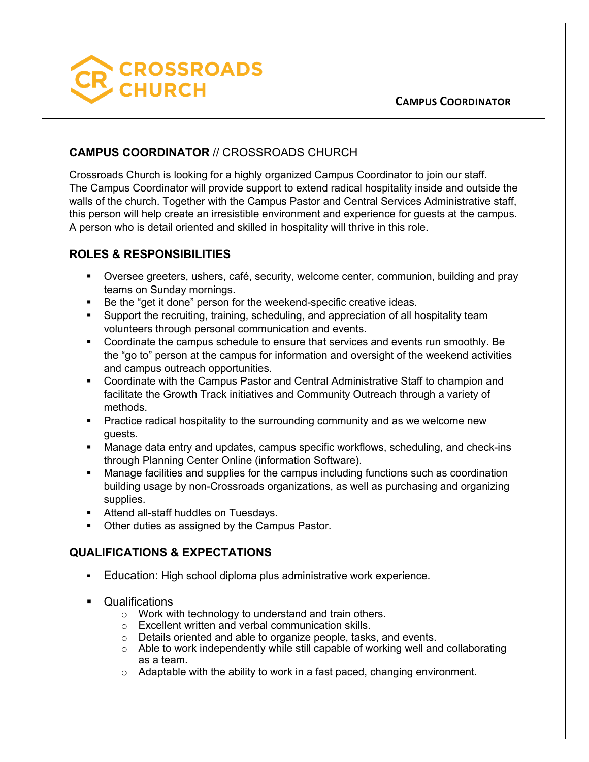

## **CAMPUS COORDINATOR** // CROSSROADS CHURCH

Crossroads Church is looking for a highly organized Campus Coordinator to join our staff. The Campus Coordinator will provide support to extend radical hospitality inside and outside the walls of the church. Together with the Campus Pastor and Central Services Administrative staff, this person will help create an irresistible environment and experience for guests at the campus. A person who is detail oriented and skilled in hospitality will thrive in this role.

## **ROLES & RESPONSIBILITIES**

- § Oversee greeters, ushers, café, security, welcome center, communion, building and pray teams on Sunday mornings.
- Be the "get it done" person for the weekend-specific creative ideas.
- § Support the recruiting, training, scheduling, and appreciation of all hospitality team volunteers through personal communication and events.
- § Coordinate the campus schedule to ensure that services and events run smoothly. Be the "go to" person at the campus for information and oversight of the weekend activities and campus outreach opportunities.
- § Coordinate with the Campus Pastor and Central Administrative Staff to champion and facilitate the Growth Track initiatives and Community Outreach through a variety of methods.
- Practice radical hospitality to the surrounding community and as we welcome new guests.
- Manage data entry and updates, campus specific workflows, scheduling, and check-ins through Planning Center Online (information Software).
- Manage facilities and supplies for the campus including functions such as coordination building usage by non-Crossroads organizations, as well as purchasing and organizing supplies.
- **Attend all-staff huddles on Tuesdays.**
- Other duties as assigned by the Campus Pastor.

## **QUALIFICATIONS & EXPECTATIONS**

- § Education: High school diploma plus administrative work experience.
- Qualifications
	- o Work with technology to understand and train others.
	- o Excellent written and verbal communication skills.
	- o Details oriented and able to organize people, tasks, and events.
	- $\circ$  Able to work independently while still capable of working well and collaborating as a team.
	- o Adaptable with the ability to work in a fast paced, changing environment.